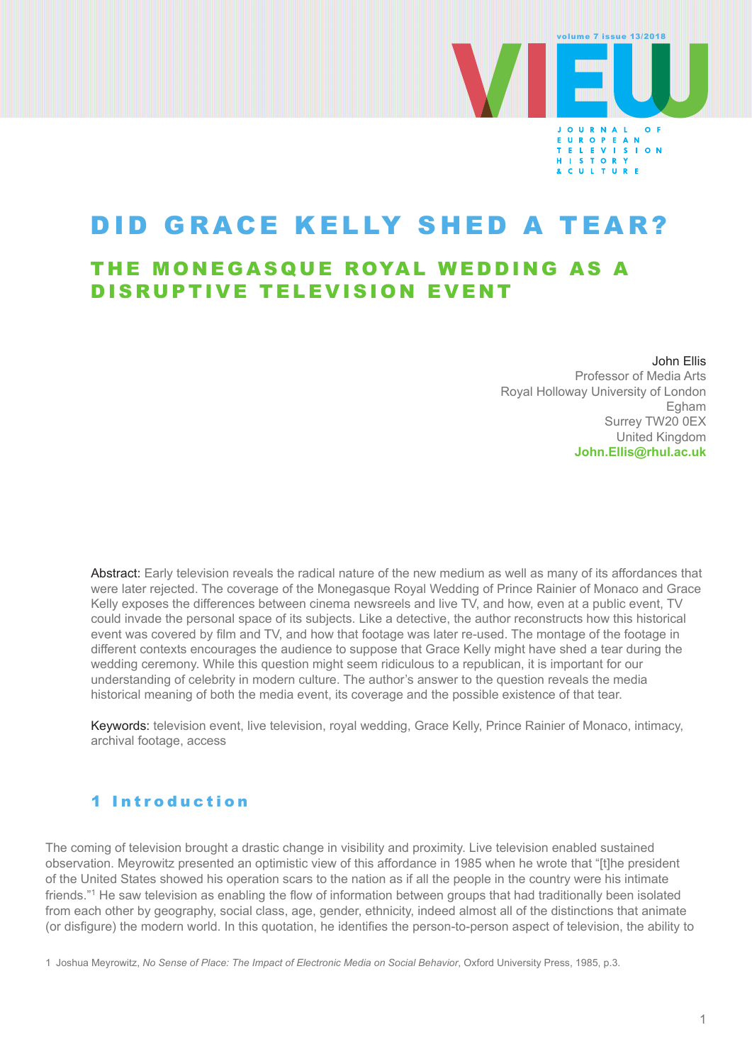

# DID GRACE KELLY SHED A TEAR?

## THE MONEGASQUE ROYAL WEDDING AS A DISRUPTIVE TELEVISION EVENT

John Ellis Professor of Media Arts Royal Holloway University of London Egham Surrey TW20 0EX United Kingdom **[John.Ellis@rhul.ac.uk](mailto:John.Ellis@rhul.ac.uk)**

Abstract: Early television reveals the radical nature of the new medium as well as many of its affordances that were later rejected. The coverage of the Monegasque Royal Wedding of Prince Rainier of Monaco and Grace Kelly exposes the differences between cinema newsreels and live TV, and how, even at a public event, TV could invade the personal space of its subjects. Like a detective, the author reconstructs how this historical event was covered by film and TV, and how that footage was later re-used. The montage of the footage in different contexts encourages the audience to suppose that Grace Kelly might have shed a tear during the wedding ceremony. While this question might seem ridiculous to a republican, it is important for our understanding of celebrity in modern culture. The author's answer to the question reveals the media historical meaning of both the media event, its coverage and the possible existence of that tear.

Keywords: television event, live television, royal wedding, Grace Kelly, Prince Rainier of Monaco, intimacy, archival footage, access

### 1 Introduction

The coming of television brought a drastic change in visibility and proximity. Live television enabled sustained observation. Meyrowitz presented an optimistic view of this affordance in 1985 when he wrote that "[t]he president of the United States showed his operation scars to the nation as if all the people in the country were his intimate friends."1 He saw television as enabling the flow of information between groups that had traditionally been isolated from each other by geography, social class, age, gender, ethnicity, indeed almost all of the distinctions that animate (or disfigure) the modern world. In this quotation, he identifies the person-to-person aspect of television, the ability to

1 Joshua Meyrowitz, *No Sense of Place: The Impact of Electronic Media on Social Behavior*, Oxford University Press, 1985, p.3.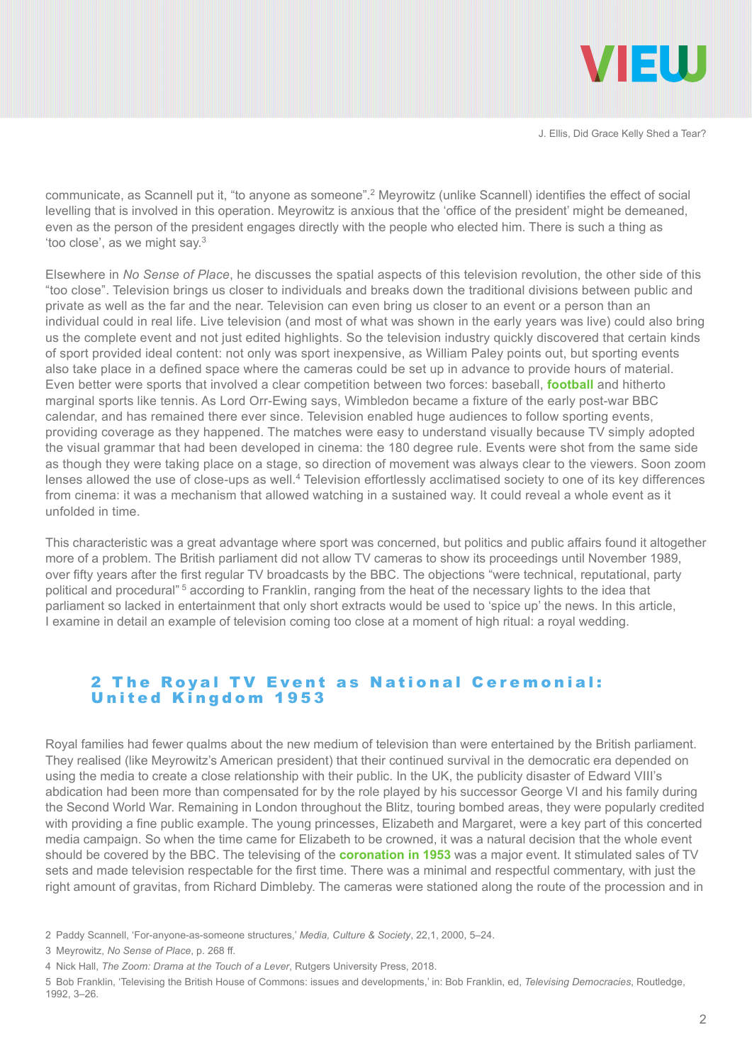

communicate, as Scannell put it, "to anyone as someone".2 Meyrowitz (unlike Scannell) identifies the effect of social levelling that is involved in this operation. Meyrowitz is anxious that the 'office of the president' might be demeaned, even as the person of the president engages directly with the people who elected him. There is such a thing as 'too close', as we might say.3

Elsewhere in *No Sense of Place*, he discusses the spatial aspects of this television revolution, the other side of this "too close". Television brings us closer to individuals and breaks down the traditional divisions between public and private as well as the far and the near. Television can even bring us closer to an event or a person than an individual could in real life. Live television (and most of what was shown in the early years was live) could also bring us the complete event and not just edited highlights. So the television industry quickly discovered that certain kinds of sport provided ideal content: not only was sport inexpensive, as William Paley points out, but sporting events also take place in a defined space where the cameras could be set up in advance to provide hours of material. Even better were sports that involved a clear competition between two forces: baseball, **[football](https://vimeo.com/257947543)** and hitherto marginal sports like tennis. As Lord Orr-Ewing says, Wimbledon became a fixture of the early post-war BBC calendar, and has remained there ever since. Television enabled huge audiences to follow sporting events, providing coverage as they happened. The matches were easy to understand visually because TV simply adopted the visual grammar that had been developed in cinema: the 180 degree rule. Events were shot from the same side as though they were taking place on a stage, so direction of movement was always clear to the viewers. Soon zoom lenses allowed the use of close-ups as well.4 Television effortlessly acclimatised society to one of its key differences from cinema: it was a mechanism that allowed watching in a sustained way. It could reveal a whole event as it unfolded in time.

This characteristic was a great advantage where sport was concerned, but politics and public affairs found it altogether more of a problem. The British parliament did not allow TV cameras to show its proceedings until November 1989, over fifty years after the first regular TV broadcasts by the BBC. The objections "were technical, reputational, party political and procedural" 5 according to Franklin, ranging from the heat of the necessary lights to the idea that parliament so lacked in entertainment that only short extracts would be used to 'spice up' the news. In this article, I examine in detail an example of television coming too close at a moment of high ritual: a royal wedding.

#### 2 The Royal TV Event as National Ceremonial: United Kingdom 1953

Royal families had fewer qualms about the new medium of television than were entertained by the British parliament. They realised (like Meyrowitz's American president) that their continued survival in the democratic era depended on using the media to create a close relationship with their public. In the UK, the publicity disaster of Edward VIII's abdication had been more than compensated for by the role played by his successor George VI and his family during the Second World War. Remaining in London throughout the Blitz, touring bombed areas, they were popularly credited with providing a fine public example. The young princesses, Elizabeth and Margaret, were a key part of this concerted media campaign. So when the time came for Elizabeth to be crowned, it was a natural decision that the whole event should be covered by the BBC. The televising of the **[coronation in 1953](https://vimeo.com/257948860)** was a major event. It stimulated sales of TV sets and made television respectable for the first time. There was a minimal and respectful commentary, with just the right amount of gravitas, from Richard Dimbleby. The cameras were stationed along the route of the procession and in

<sup>2</sup> Paddy Scannell, 'For-anyone-as-someone structures,' *Media, Culture & Society*, 22,1, 2000, 5–24.

<sup>3</sup> Meyrowitz, *No Sense of Place*, p. 268 ff.

<sup>4</sup> Nick Hall, *The Zoom: Drama at the Touch of a Lever*, Rutgers University Press, 2018.

<sup>5</sup> Bob Franklin, 'Televising the British House of Commons: issues and developments,' in: Bob Franklin, ed, *Televising Democracies*, Routledge, 1992, 3–26.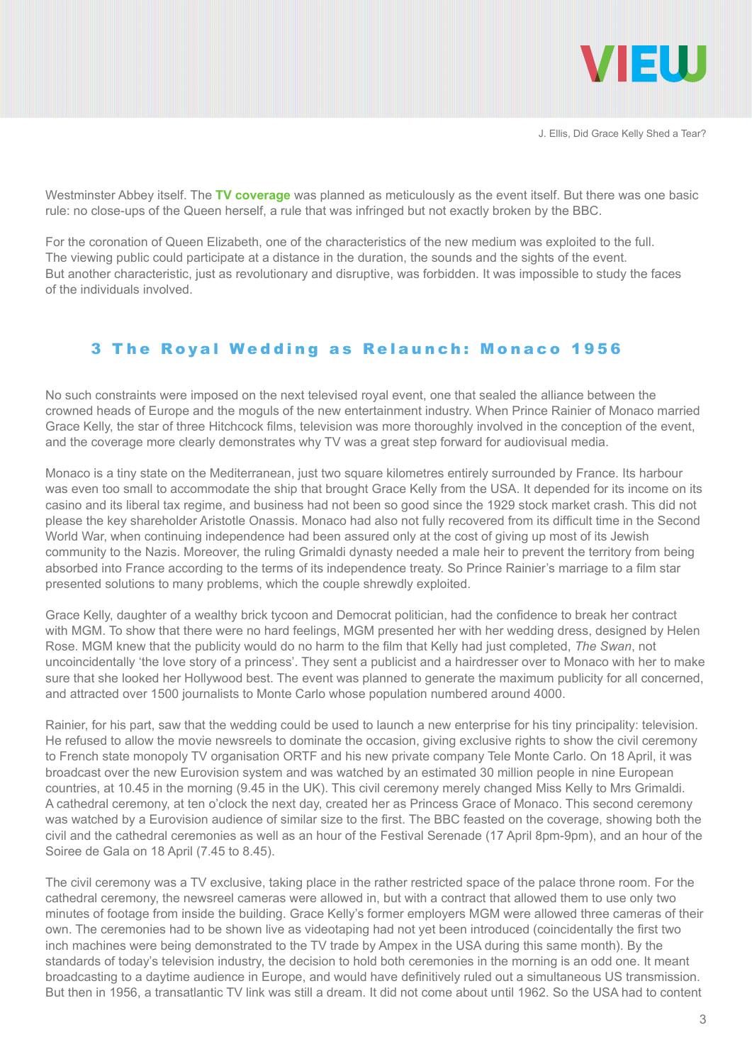

Westminster Abbey itself. The **[TV coverage](https://www.youtube.com/embed/1tU5-XCTCUU?start=105&end=216&version=3)** was planned as meticulously as the event itself. But there was one basic rule: no close-ups of the Queen herself, a rule that was infringed but not exactly broken by the BBC.

For the coronation of Queen Elizabeth, one of the characteristics of the new medium was exploited to the full. The viewing public could participate at a distance in the duration, the sounds and the sights of the event. But another characteristic, just as revolutionary and disruptive, was forbidden. It was impossible to study the faces of the individuals involved.

#### 3 The Royal Wedding as Relaunch: Monaco 1956

No such constraints were imposed on the next televised royal event, one that sealed the alliance between the crowned heads of Europe and the moguls of the new entertainment industry. When Prince Rainier of Monaco married Grace Kelly, the star of three Hitchcock films, television was more thoroughly involved in the conception of the event, and the coverage more clearly demonstrates why TV was a great step forward for audiovisual media.

Monaco is a tiny state on the Mediterranean, just two square kilometres entirely surrounded by France. Its harbour was even too small to accommodate the ship that brought Grace Kelly from the USA. It depended for its income on its casino and its liberal tax regime, and business had not been so good since the 1929 stock market crash. This did not please the key shareholder Aristotle Onassis. Monaco had also not fully recovered from its difficult time in the Second World War, when continuing independence had been assured only at the cost of giving up most of its Jewish community to the Nazis. Moreover, the ruling Grimaldi dynasty needed a male heir to prevent the territory from being absorbed into France according to the terms of its independence treaty. So Prince Rainier's marriage to a film star presented solutions to many problems, which the couple shrewdly exploited.

Grace Kelly, daughter of a wealthy brick tycoon and Democrat politician, had the confidence to break her contract with MGM. To show that there were no hard feelings, MGM presented her with her wedding dress, designed by Helen Rose. MGM knew that the publicity would do no harm to the film that Kelly had just completed, *The Swan*, not uncoincidentally 'the love story of a princess'. They sent a publicist and a hairdresser over to Monaco with her to make sure that she looked her Hollywood best. The event was planned to generate the maximum publicity for all concerned, and attracted over 1500 journalists to Monte Carlo whose population numbered around 4000.

Rainier, for his part, saw that the wedding could be used to launch a new enterprise for his tiny principality: television. He refused to allow the movie newsreels to dominate the occasion, giving exclusive rights to show the civil ceremony to French state monopoly TV organisation ORTF and his new private company Tele Monte Carlo. On 18 April, it was broadcast over the new Eurovision system and was watched by an estimated 30 million people in nine European countries, at 10.45 in the morning (9.45 in the UK). This civil ceremony merely changed Miss Kelly to Mrs Grimaldi. A cathedral ceremony, at ten o'clock the next day, created her as Princess Grace of Monaco. This second ceremony was watched by a Eurovision audience of similar size to the first. The BBC feasted on the coverage, showing both the civil and the cathedral ceremonies as well as an hour of the Festival Serenade (17 April 8pm-9pm), and an hour of the Soiree de Gala on 18 April (7.45 to 8.45).

The civil ceremony was a TV exclusive, taking place in the rather restricted space of the palace throne room. For the cathedral ceremony, the newsreel cameras were allowed in, but with a contract that allowed them to use only two minutes of footage from inside the building. Grace Kelly's former employers MGM were allowed three cameras of their own. The ceremonies had to be shown live as videotaping had not yet been introduced (coincidentally the first two inch machines were being demonstrated to the TV trade by Ampex in the USA during this same month). By the standards of today's television industry, the decision to hold both ceremonies in the morning is an odd one. It meant broadcasting to a daytime audience in Europe, and would have definitively ruled out a simultaneous US transmission. But then in 1956, a transatlantic TV link was still a dream. It did not come about until 1962. So the USA had to content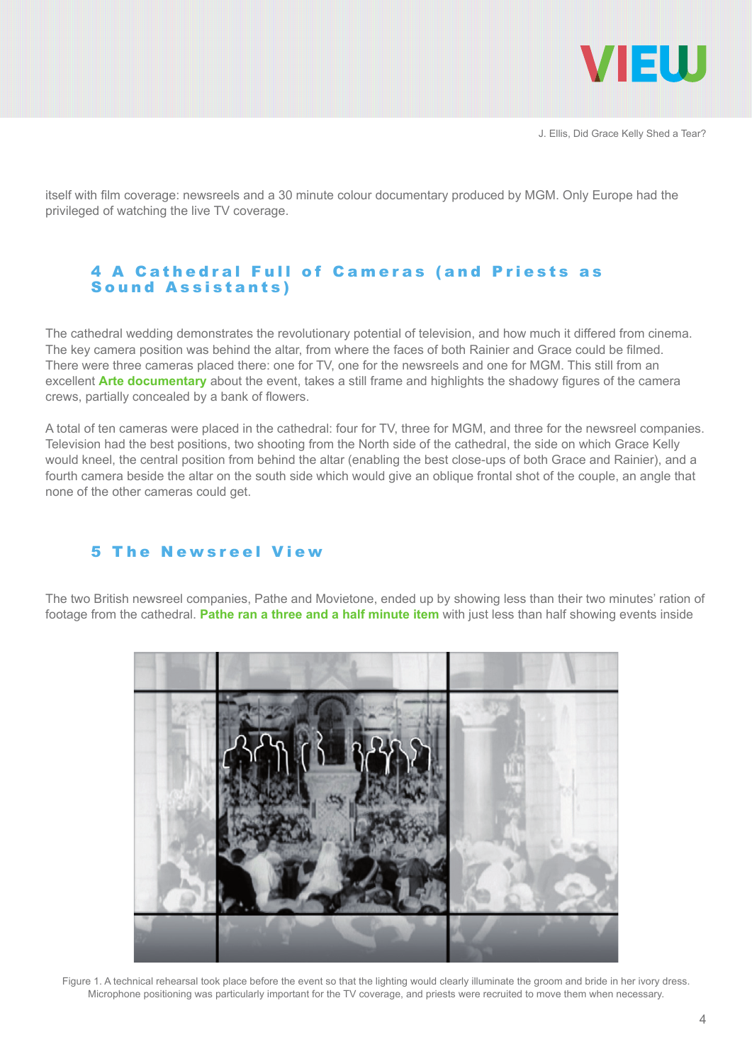

itself with film coverage: newsreels and a 30 minute colour documentary produced by MGM. Only Europe had the privileged of watching the live TV coverage.

#### 4 A Cathedral Full of Cameras (and Priests as Sound Assistants)

The cathedral wedding demonstrates the revolutionary potential of television, and how much it differed from cinema. The key camera position was behind the altar, from where the faces of both Rainier and Grace could be filmed. There were three cameras placed there: one for TV, one for the newsreels and one for MGM. This still from an excellent **[Arte documentary](http://www.ina.fr/video/4223827001/mysteres-d-archives-1956-mariage-de-grace-kelly-avec-rainier-de-monaco-video.html)** about the event, takes a still frame and highlights the shadowy figures of the camera crews, partially concealed by a bank of flowers.

A total of ten cameras were placed in the cathedral: four for TV, three for MGM, and three for the newsreel companies. Television had the best positions, two shooting from the North side of the cathedral, the side on which Grace Kelly would kneel, the central position from behind the altar (enabling the best close-ups of both Grace and Rainier), and a fourth camera beside the altar on the south side which would give an oblique frontal shot of the couple, an angle that none of the other cameras could get.

#### 5 The Newsreel View

The two British newsreel companies, Pathe and Movietone, ended up by showing less than their two minutes' ration of footage from the cathedral. **[Pathe ran a three and a half minute item](https://www.youtube.com/watch?v=YiOKFzRHm14)** with just less than half showing events inside



Figure 1. A technical rehearsal took place before the event so that the lighting would clearly illuminate the groom and bride in her ivory dress. Microphone positioning was particularly important for the TV coverage, and priests were recruited to move them when necessary.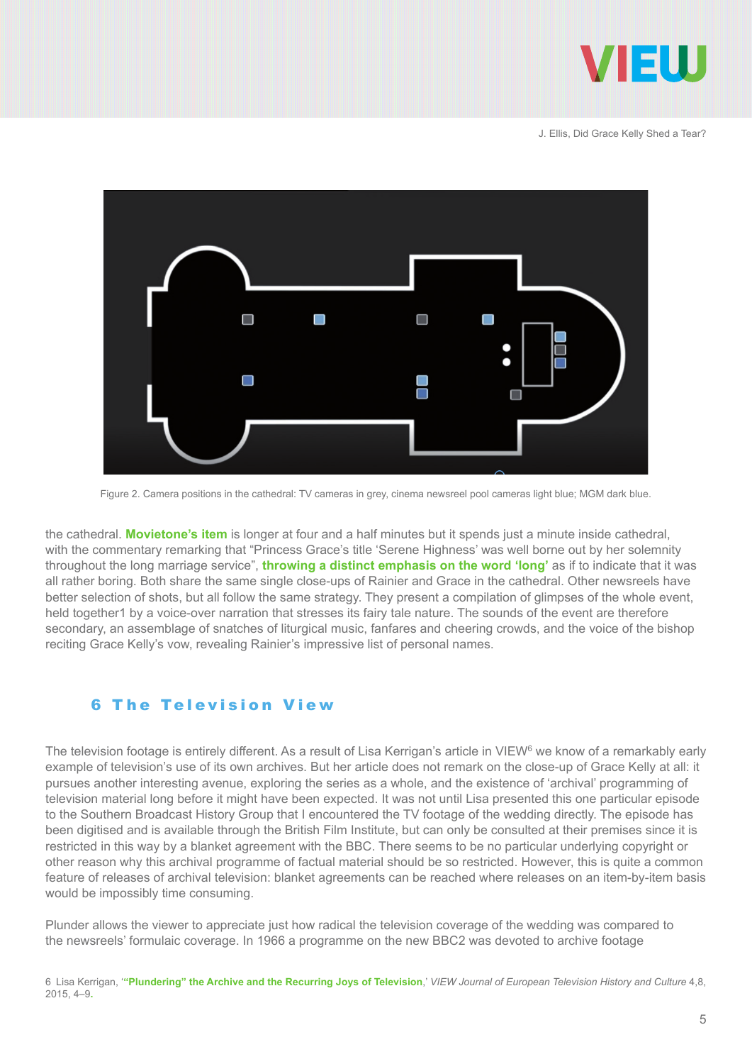



Figure 2. Camera positions in the cathedral: TV cameras in grey, cinema newsreel pool cameras light blue; MGM dark blue.

the cathedral. **[Movietone's item](https://www.youtube.com/watch?v=gCJlewvLAhk)** is longer at four and a half minutes but it spends just a minute inside cathedral, with the commentary remarking that "Princess Grace's title 'Serene Highness' was well borne out by her solemnity throughout the long marriage service", **[throwing a distinct emphasis on the word 'long'](https://goo.gl/7QFDK5)** as if to indicate that it was all rather boring. Both share the same single close-ups of Rainier and Grace in the cathedral. Other newsreels have better selection of shots, but all follow the same strategy. They present a compilation of glimpses of the whole event, held together1 by a voice-over narration that stresses its fairy tale nature. The sounds of the event are therefore secondary, an assemblage of snatches of liturgical music, fanfares and cheering crowds, and the voice of the bishop reciting Grace Kelly's vow, revealing Rainier's impressive list of personal names.

#### 6 The Television View

The television footage is entirely different. As a result of Lisa Kerrigan's article in VIEW<sup>6</sup> we know of a remarkably early example of television's use of its own archives. But her article does not remark on the close-up of Grace Kelly at all: it pursues another interesting avenue, exploring the series as a whole, and the existence of 'archival' programming of television material long before it might have been expected. It was not until Lisa presented this one particular episode to the Southern Broadcast History Group that I encountered the TV footage of the wedding directly. The episode has been digitised and is available through the British Film Institute, but can only be consulted at their premises since it is restricted in this way by a blanket agreement with the BBC. There seems to be no particular underlying copyright or other reason why this archival programme of factual material should be so restricted. However, this is quite a common feature of releases of archival television: blanket agreements can be reached where releases on an item-by-item basis would be impossibly time consuming.

Plunder allows the viewer to appreciate just how radical the television coverage of the wedding was compared to the newsreels' formulaic coverage. In 1966 a programme on the new BBC2 was devoted to archive footage

<sup>6</sup> Lisa Kerrigan, '**["Plundering" the Archive and the Recurring Joys of Television](file://localhost/, http/::viewjournal.eu:archive-based-productions:plundering-the-archive-and-the-recurring-joys-of-television:)**,' *VIEW Journal of European Television History and Culture* 4,8, 2015, 4–9**.**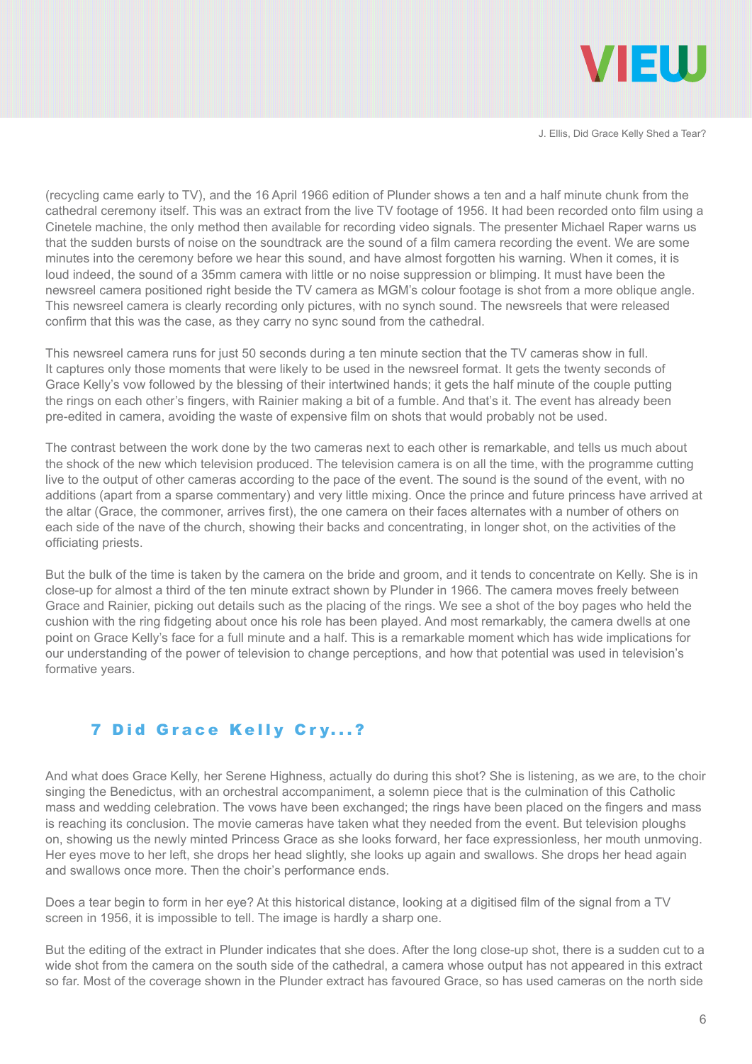

(recycling came early to TV), and the 16 April 1966 edition of Plunder shows a ten and a half minute chunk from the cathedral ceremony itself. This was an extract from the live TV footage of 1956. It had been recorded onto film using a Cinetele machine, the only method then available for recording video signals. The presenter Michael Raper warns us that the sudden bursts of noise on the soundtrack are the sound of a film camera recording the event. We are some minutes into the ceremony before we hear this sound, and have almost forgotten his warning. When it comes, it is loud indeed, the sound of a 35mm camera with little or no noise suppression or blimping. It must have been the newsreel camera positioned right beside the TV camera as MGM's colour footage is shot from a more oblique angle. This newsreel camera is clearly recording only pictures, with no synch sound. The newsreels that were released confirm that this was the case, as they carry no sync sound from the cathedral.

This newsreel camera runs for just 50 seconds during a ten minute section that the TV cameras show in full. It captures only those moments that were likely to be used in the newsreel format. It gets the twenty seconds of Grace Kelly's vow followed by the blessing of their intertwined hands; it gets the half minute of the couple putting the rings on each other's fingers, with Rainier making a bit of a fumble. And that's it. The event has already been pre-edited in camera, avoiding the waste of expensive film on shots that would probably not be used.

The contrast between the work done by the two cameras next to each other is remarkable, and tells us much about the shock of the new which television produced. The television camera is on all the time, with the programme cutting live to the output of other cameras according to the pace of the event. The sound is the sound of the event, with no additions (apart from a sparse commentary) and very little mixing. Once the prince and future princess have arrived at the altar (Grace, the commoner, arrives first), the one camera on their faces alternates with a number of others on each side of the nave of the church, showing their backs and concentrating, in longer shot, on the activities of the officiating priests.

But the bulk of the time is taken by the camera on the bride and groom, and it tends to concentrate on Kelly. She is in close-up for almost a third of the ten minute extract shown by Plunder in 1966. The camera moves freely between Grace and Rainier, picking out details such as the placing of the rings. We see a shot of the boy pages who held the cushion with the ring fidgeting about once his role has been played. And most remarkably, the camera dwells at one point on Grace Kelly's face for a full minute and a half. This is a remarkable moment which has wide implications for our understanding of the power of television to change perceptions, and how that potential was used in television's formative years.

#### 7 Did Grace Kelly Cry...?

And what does Grace Kelly, her Serene Highness, actually do during this shot? She is listening, as we are, to the choir singing the Benedictus, with an orchestral accompaniment, a solemn piece that is the culmination of this Catholic mass and wedding celebration. The vows have been exchanged; the rings have been placed on the fingers and mass is reaching its conclusion. The movie cameras have taken what they needed from the event. But television ploughs on, showing us the newly minted Princess Grace as she looks forward, her face expressionless, her mouth unmoving. Her eyes move to her left, she drops her head slightly, she looks up again and swallows. She drops her head again and swallows once more. Then the choir's performance ends.

Does a tear begin to form in her eye? At this historical distance, looking at a digitised film of the signal from a TV screen in 1956, it is impossible to tell. The image is hardly a sharp one.

But the editing of the extract in Plunder indicates that she does. After the long close-up shot, there is a sudden cut to a wide shot from the camera on the south side of the cathedral, a camera whose output has not appeared in this extract so far. Most of the coverage shown in the Plunder extract has favoured Grace, so has used cameras on the north side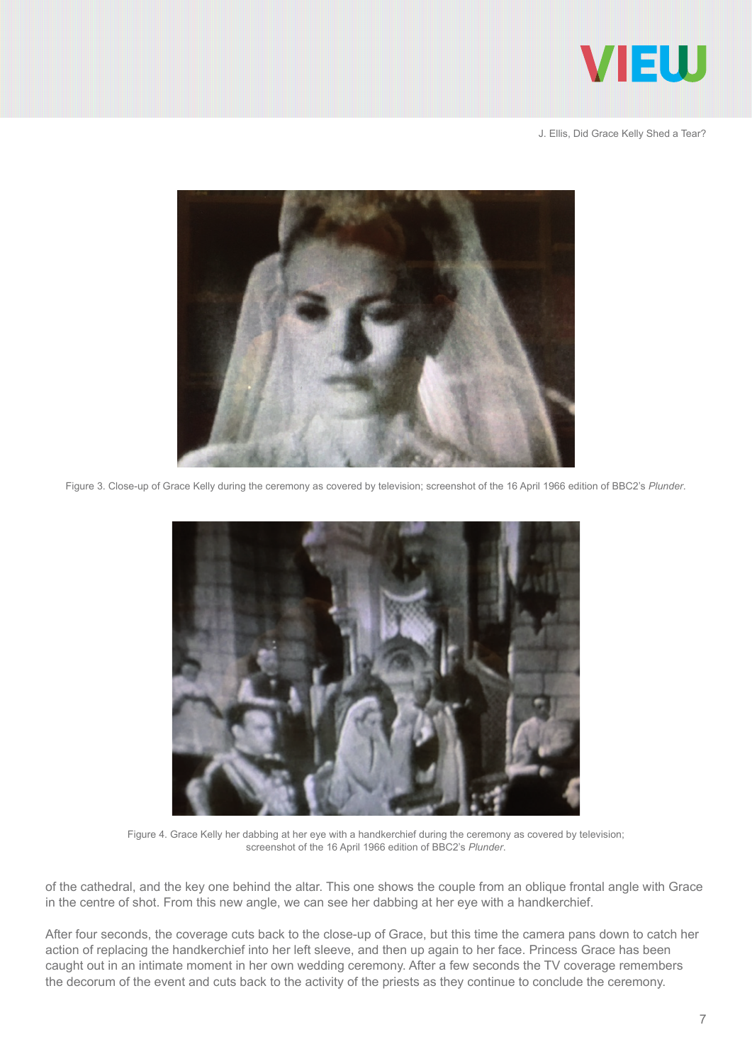



Figure 3. Close-up of Grace Kelly during the ceremony as covered by television; screenshot of the 16 April 1966 edition of BBC2's *Plunder*.



Figure 4. Grace Kelly her dabbing at her eye with a handkerchief during the ceremony as covered by television; screenshot of the 16 April 1966 edition of BBC2's *Plunder*.

of the cathedral, and the key one behind the altar. This one shows the couple from an oblique frontal angle with Grace in the centre of shot. From this new angle, we can see her dabbing at her eye with a handkerchief.

After four seconds, the coverage cuts back to the close-up of Grace, but this time the camera pans down to catch her action of replacing the handkerchief into her left sleeve, and then up again to her face. Princess Grace has been caught out in an intimate moment in her own wedding ceremony. After a few seconds the TV coverage remembers the decorum of the event and cuts back to the activity of the priests as they continue to conclude the ceremony.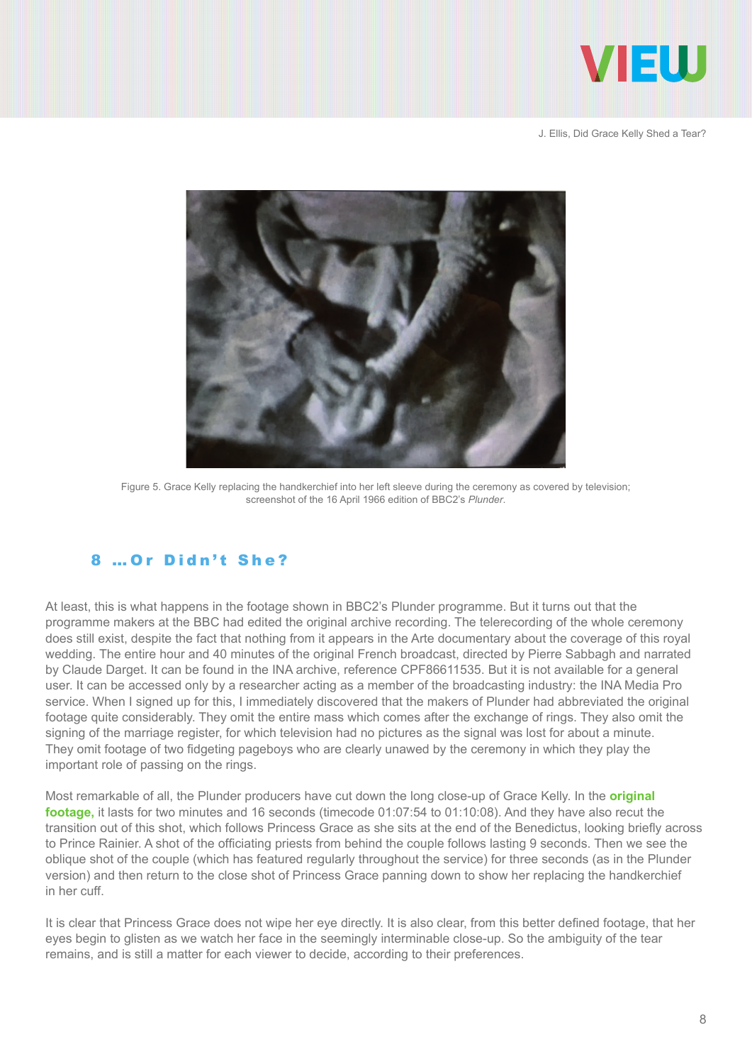



Figure 5. Grace Kelly replacing the handkerchief into her left sleeve during the ceremony as covered by television; screenshot of the 16 April 1966 edition of BBC2's *Plunder*.

#### 8 …Or Didn't She?

At least, this is what happens in the footage shown in BBC2's Plunder programme. But it turns out that the programme makers at the BBC had edited the original archive recording. The telerecording of the whole ceremony does still exist, despite the fact that nothing from it appears in the Arte documentary about the coverage of this royal wedding. The entire hour and 40 minutes of the original French broadcast, directed by Pierre Sabbagh and narrated by Claude Darget. It can be found in the INA archive, reference CPF86611535. But it is not available for a general user. It can be accessed only by a researcher acting as a member of the broadcasting industry: the INA Media Pro service. When I signed up for this, I immediately discovered that the makers of Plunder had abbreviated the original footage quite considerably. They omit the entire mass which comes after the exchange of rings. They also omit the signing of the marriage register, for which television had no pictures as the signal was lost for about a minute. They omit footage of two fidgeting pageboys who are clearly unawed by the ceremony in which they play the important role of passing on the rings.

Most remarkable of all, the Plunder producers have cut down the long close-up of Grace Kelly. In the **[original](https://vimeo.com/262182609)  [footage,](https://vimeo.com/262182609)** it lasts for two minutes and 16 seconds (timecode 01:07:54 to 01:10:08). And they have also recut the transition out of this shot, which follows Princess Grace as she sits at the end of the Benedictus, looking briefly across to Prince Rainier. A shot of the officiating priests from behind the couple follows lasting 9 seconds. Then we see the oblique shot of the couple (which has featured regularly throughout the service) for three seconds (as in the Plunder version) and then return to the close shot of Princess Grace panning down to show her replacing the handkerchief in her cuff.

It is clear that Princess Grace does not wipe her eye directly. It is also clear, from this better defined footage, that her eyes begin to glisten as we watch her face in the seemingly interminable close-up. So the ambiguity of the tear remains, and is still a matter for each viewer to decide, according to their preferences.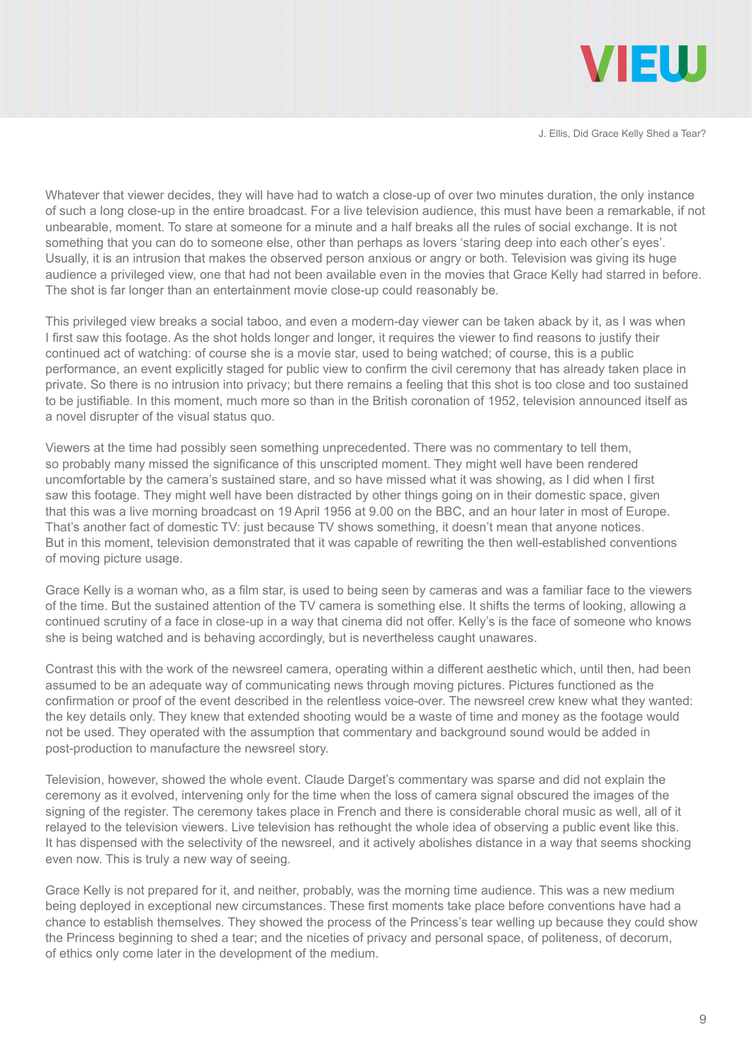

Whatever that viewer decides, they will have had to watch a close-up of over two minutes duration, the only instance of such a long close-up in the entire broadcast. For a live television audience, this must have been a remarkable, if not unbearable, moment. To stare at someone for a minute and a half breaks all the rules of social exchange. It is not something that you can do to someone else, other than perhaps as lovers 'staring deep into each other's eyes'. Usually, it is an intrusion that makes the observed person anxious or angry or both. Television was giving its huge audience a privileged view, one that had not been available even in the movies that Grace Kelly had starred in before. The shot is far longer than an entertainment movie close-up could reasonably be.

This privileged view breaks a social taboo, and even a modern-day viewer can be taken aback by it, as I was when I first saw this footage. As the shot holds longer and longer, it requires the viewer to find reasons to justify their continued act of watching: of course she is a movie star, used to being watched; of course, this is a public performance, an event explicitly staged for public view to confirm the civil ceremony that has already taken place in private. So there is no intrusion into privacy; but there remains a feeling that this shot is too close and too sustained to be justifiable. In this moment, much more so than in the British coronation of 1952, television announced itself as a novel disrupter of the visual status quo.

Viewers at the time had possibly seen something unprecedented. There was no commentary to tell them, so probably many missed the significance of this unscripted moment. They might well have been rendered uncomfortable by the camera's sustained stare, and so have missed what it was showing, as I did when I first saw this footage. They might well have been distracted by other things going on in their domestic space, given that this was a live morning broadcast on 19 April 1956 at 9.00 on the BBC, and an hour later in most of Europe. That's another fact of domestic TV: just because TV shows something, it doesn't mean that anyone notices. But in this moment, television demonstrated that it was capable of rewriting the then well-established conventions of moving picture usage.

Grace Kelly is a woman who, as a film star, is used to being seen by cameras and was a familiar face to the viewers of the time. But the sustained attention of the TV camera is something else. It shifts the terms of looking, allowing a continued scrutiny of a face in close-up in a way that cinema did not offer. Kelly's is the face of someone who knows she is being watched and is behaving accordingly, but is nevertheless caught unawares.

Contrast this with the work of the newsreel camera, operating within a different aesthetic which, until then, had been assumed to be an adequate way of communicating news through moving pictures. Pictures functioned as the confirmation or proof of the event described in the relentless voice-over. The newsreel crew knew what they wanted: the key details only. They knew that extended shooting would be a waste of time and money as the footage would not be used. They operated with the assumption that commentary and background sound would be added in post-production to manufacture the newsreel story.

Television, however, showed the whole event. Claude Darget's commentary was sparse and did not explain the ceremony as it evolved, intervening only for the time when the loss of camera signal obscured the images of the signing of the register. The ceremony takes place in French and there is considerable choral music as well, all of it relayed to the television viewers. Live television has rethought the whole idea of observing a public event like this. It has dispensed with the selectivity of the newsreel, and it actively abolishes distance in a way that seems shocking even now. This is truly a new way of seeing.

Grace Kelly is not prepared for it, and neither, probably, was the morning time audience. This was a new medium being deployed in exceptional new circumstances. These first moments take place before conventions have had a chance to establish themselves. They showed the process of the Princess's tear welling up because they could show the Princess beginning to shed a tear; and the niceties of privacy and personal space, of politeness, of decorum, of ethics only come later in the development of the medium.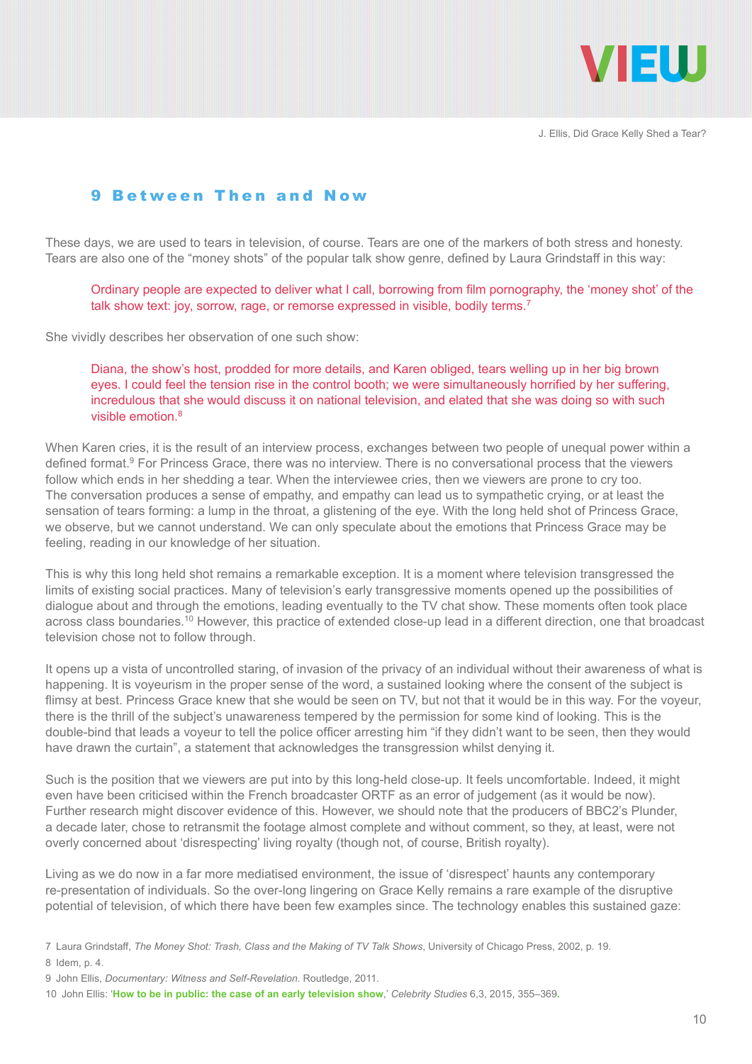

#### 9 Between Then and Now

These days, we are used to tears in television, of course. Tears are one of the markers of both stress and honesty. Tears are also one of the "money shots" of the popular talk show genre, defined by Laura Grindstaff in this way:

Ordinary people are expected to deliver what I call, borrowing from film pornography, the 'money shot' of the talk show text: joy, sorrow, rage, or remorse expressed in visible, bodily terms.<sup>7</sup>

She vividly describes her observation of one such show:

Diana, the show's host, prodded for more details, and Karen obliged, tears welling up in her big brown eyes. I could feel the tension rise in the control booth; we were simultaneously horrified by her suffering, incredulous that she would discuss it on national television, and elated that she was doing so with such visible emotion  $8$ 

When Karen cries, it is the result of an interview process, exchanges between two people of unequal power within a defined format.<sup>9</sup> For Princess Grace, there was no interview. There is no conversational process that the viewers follow which ends in her shedding a tear. When the interviewee cries, then we viewers are prone to cry too. The conversation produces a sense of empathy, and empathy can lead us to sympathetic crying, or at least the sensation of tears forming: a lump in the throat, a glistening of the eye. With the long held shot of Princess Grace, we observe, but we cannot understand. We can only speculate about the emotions that Princess Grace may be feeling, reading in our knowledge of her situation.

This is why this long held shot remains a remarkable exception. It is a moment where television transgressed the limits of existing social practices. Many of television's early transgressive moments opened up the possibilities of dialogue about and through the emotions, leading eventually to the TV chat show. These moments often took place across class boundaries.10 However, this practice of extended close-up lead in a different direction, one that broadcast television chose not to follow through.

It opens up a vista of uncontrolled staring, of invasion of the privacy of an individual without their awareness of what is happening. It is voyeurism in the proper sense of the word, a sustained looking where the consent of the subject is flimsy at best. Princess Grace knew that she would be seen on TV, but not that it would be in this way. For the voyeur, there is the thrill of the subject's unawareness tempered by the permission for some kind of looking. This is the double-bind that leads a voyeur to tell the police officer arresting him "if they didn't want to be seen, then they would have drawn the curtain", a statement that acknowledges the transgression whilst denying it.

Such is the position that we viewers are put into by this long-held close-up. It feels uncomfortable. Indeed, it might even have been criticised within the French broadcaster ORTF as an error of judgement (as it would be now). Further research might discover evidence of this. However, we should note that the producers of BBC2's Plunder, a decade later, chose to retransmit the footage almost complete and without comment, so they, at least, were not overly concerned about 'disrespecting' living royalty (though not, of course, British royalty).

Living as we do now in a far more mediatised environment, the issue of 'disrespect' haunts any contemporary re-presentation of individuals. So the over-long lingering on Grace Kelly remains a rare example of the disruptive potential of television, of which there have been few examples since. The technology enables this sustained gaze:

<sup>7</sup> Laura Grindstaff, *The Money Shot: Trash, Class and the Making of TV Talk Shows*, University of Chicago Press, 2002, p. 19.

<sup>8</sup> Idem, p. 4.

<sup>9</sup> John Ellis, *Documentary: Witness and Self-Revelation*. Routledge, 2011.

<sup>10</sup> John Ellis: '**[How to be in public: the case of an early television show](http://dx.doi.org/10.1080/19392397.2015.1062647)**,' *Celebrity Studies* 6,3, 2015, 355–369**.**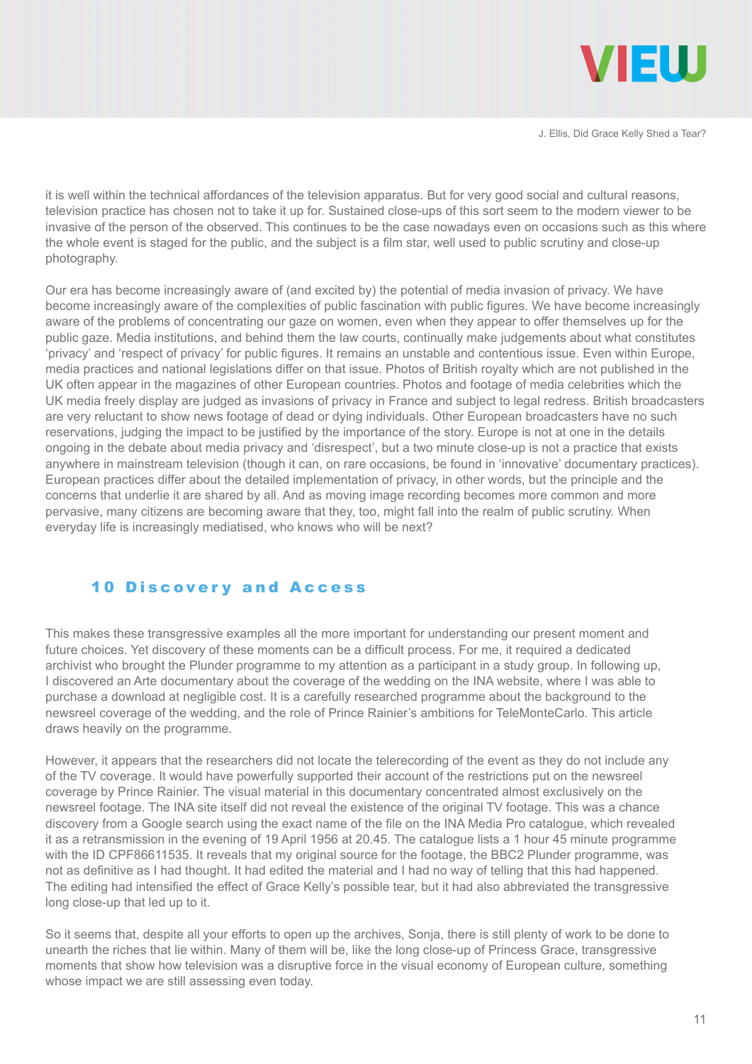

it is well within the technical affordances of the television apparatus. But for very good social and cultural reasons, television practice has chosen not to take it up for. Sustained close-ups of this sort seem to the modern viewer to be invasive of the person of the observed. This continues to be the case nowadays even on occasions such as this where the whole event is staged for the public, and the subject is a film star, well used to public scrutiny and close-up photography.

Our era has become increasingly aware of (and excited by) the potential of media invasion of privacy. We have become increasingly aware of the complexities of public fascination with public figures. We have become increasingly aware of the problems of concentrating our gaze on women, even when they appear to offer themselves up for the public gaze. Media institutions, and behind them the law courts, continually make judgements about what constitutes 'privacy' and 'respect of privacy' for public figures. It remains an unstable and contentious issue. Even within Europe, media practices and national legislations differ on that issue. Photos of British royalty which are not published in the UK often appear in the magazines of other European countries. Photos and footage of media celebrities which the UK media freely display are judged as invasions of privacy in France and subject to legal redress. British broadcasters are very reluctant to show news footage of dead or dying individuals. Other European broadcasters have no such reservations, judging the impact to be justified by the importance of the story. Europe is not at one in the details ongoing in the debate about media privacy and 'disrespect', but a two minute close-up is not a practice that exists anywhere in mainstream television (though it can, on rare occasions, be found in 'innovative' documentary practices). European practices differ about the detailed implementation of privacy, in other words, but the principle and the concerns that underlie it are shared by all. And as moving image recording becomes more common and more pervasive, many citizens are becoming aware that they, too, might fall into the realm of public scrutiny. When everyday life is increasingly mediatised, who knows who will be next?

#### 10 Discovery and Access

This makes these transgressive examples all the more important for understanding our present moment and future choices. Yet discovery of these moments can be a difficult process. For me, it required a dedicated archivist who brought the Plunder programme to my attention as a participant in a study group. In following up, I discovered an Arte documentary about the coverage of the wedding on the INA website, where I was able to purchase a download at negligible cost. It is a carefully researched programme about the background to the newsreel coverage of the wedding, and the role of Prince Rainier's ambitions for TeleMonteCarlo. This article draws heavily on the programme.

However, it appears that the researchers did not locate the telerecording of the event as they do not include any of the TV coverage. It would have powerfully supported their account of the restrictions put on the newsreel coverage by Prince Rainier. The visual material in this documentary concentrated almost exclusively on the newsreel footage. The INA site itself did not reveal the existence of the original TV footage. This was a chance discovery from a Google search using the exact name of the file on the INA Media Pro catalogue, which revealed it as a retransmission in the evening of 19 April 1956 at 20.45. The catalogue lists a 1 hour 45 minute programme with the ID CPF86611535. It reveals that my original source for the footage, the BBC2 Plunder programme, was not as definitive as I had thought. It had edited the material and I had no way of telling that this had happened. The editing had intensified the effect of Grace Kelly's possible tear, but it had also abbreviated the transgressive long close-up that led up to it.

So it seems that, despite all your efforts to open up the archives, Sonja, there is still plenty of work to be done to unearth the riches that lie within. Many of them will be, like the long close-up of Princess Grace, transgressive moments that show how television was a disruptive force in the visual economy of European culture, something whose impact we are still assessing even today.